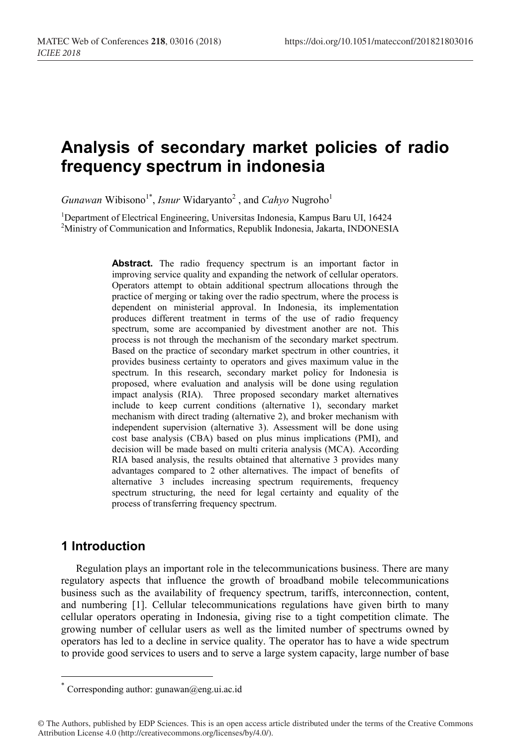# **Analysis of secondary market policies of radio frequency spectrum in indonesia**

*Gunawan* Wibisono<sup>1\*</sup>, *Isnur* Widaryanto<sup>2</sup>, and *Cahyo* Nugroho<sup>1</sup>

<sup>1</sup>Department of Electrical Engineering, Universitas Indonesia, Kampus Baru UI, 16424<br><sup>2</sup>Ministry of Communication and Informatics, Republik Indonesia, Iskarta, INDONESI <sup>2</sup>Ministry of Communication and Informatics, Republik Indonesia, Jakarta, INDONESIA

> Abstract. The radio frequency spectrum is an important factor in improving service quality and expanding the network of cellular operators. Operators attempt to obtain additional spectrum allocations through the practice of merging or taking over the radio spectrum, where the process is dependent on ministerial approval. In Indonesia, its implementation produces different treatment in terms of the use of radio frequency spectrum, some are accompanied by divestment another are not. This process is not through the mechanism of the secondary market spectrum. Based on the practice of secondary market spectrum in other countries, it provides business certainty to operators and gives maximum value in the spectrum. In this research, secondary market policy for Indonesia is proposed, where evaluation and analysis will be done using regulation impact analysis (RIA). Three proposed secondary market alternatives include to keep current conditions (alternative 1), secondary market mechanism with direct trading (alternative 2), and broker mechanism with independent supervision (alternative 3). Assessment will be done using cost base analysis (CBA) based on plus minus implications (PMI), and decision will be made based on multi criteria analysis (MCA). According RIA based analysis, the results obtained that alternative 3 provides many advantages compared to 2 other alternatives. The impact of benefits of alternative 3 includes increasing spectrum requirements, frequency spectrum structuring, the need for legal certainty and equality of the process of transferring frequency spectrum.

## **1 Introduction**

Regulation plays an important role in the telecommunications business. There are many regulatory aspects that influence the growth of broadband mobile telecommunications business such as the availability of frequency spectrum, tariffs, interconnection, content, and numbering [1]. Cellular telecommunications regulations have given birth to many cellular operators operating in Indonesia, giving rise to a tight competition climate. The growing number of cellular users as well as the limited number of spectrums owned by operators has led to a decline in service quality. The operator has to have a wide spectrum to provide good services to users and to serve a large system capacity, large number of base

<sup>\*</sup> Corresponding author: gunawan@eng.ui.ac.id

<sup>©</sup> The Authors, published by EDP Sciences. This is an open access article distributed under the terms of the Creative Commons Attribution License 4.0 (http://creativecommons.org/licenses/by/4.0/).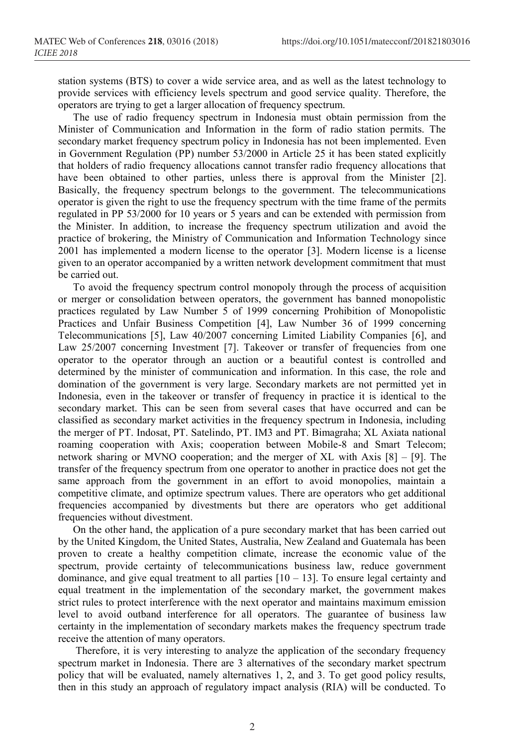station systems (BTS) to cover a wide service area, and as well as the latest technology to provide services with efficiency levels spectrum and good service quality. Therefore, the operators are trying to get a larger allocation of frequency spectrum.

The use of radio frequency spectrum in Indonesia must obtain permission from the Minister of Communication and Information in the form of radio station permits. The secondary market frequency spectrum policy in Indonesia has not been implemented. Even in Government Regulation (PP) number 53/2000 in Article 25 it has been stated explicitly that holders of radio frequency allocations cannot transfer radio frequency allocations that have been obtained to other parties, unless there is approval from the Minister [2]. Basically, the frequency spectrum belongs to the government. The telecommunications operator is given the right to use the frequency spectrum with the time frame of the permits regulated in PP 53/2000 for 10 years or 5 years and can be extended with permission from the Minister. In addition, to increase the frequency spectrum utilization and avoid the practice of brokering, the Ministry of Communication and Information Technology since 2001 has implemented a modern license to the operator [3]. Modern license is a license given to an operator accompanied by a written network development commitment that must be carried out.

To avoid the frequency spectrum control monopoly through the process of acquisition or merger or consolidation between operators, the government has banned monopolistic practices regulated by Law Number 5 of 1999 concerning Prohibition of Monopolistic Practices and Unfair Business Competition [4], Law Number 36 of 1999 concerning Telecommunications [5], Law 40/2007 concerning Limited Liability Companies [6], and Law 25/2007 concerning Investment [7]. Takeover or transfer of frequencies from one operator to the operator through an auction or a beautiful contest is controlled and determined by the minister of communication and information. In this case, the role and domination of the government is very large. Secondary markets are not permitted yet in Indonesia, even in the takeover or transfer of frequency in practice it is identical to the secondary market. This can be seen from several cases that have occurred and can be classified as secondary market activities in the frequency spectrum in Indonesia, including the merger of PT. Indosat, PT. Satelindo, PT. IM3 and PT. Bimagraha; XL Axiata national roaming cooperation with Axis; cooperation between Mobile-8 and Smart Telecom; network sharing or MVNO cooperation; and the merger of XL with Axis [8] – [9]. The transfer of the frequency spectrum from one operator to another in practice does not get the same approach from the government in an effort to avoid monopolies, maintain a competitive climate, and optimize spectrum values. There are operators who get additional frequencies accompanied by divestments but there are operators who get additional frequencies without divestment.

On the other hand, the application of a pure secondary market that has been carried out by the United Kingdom, the United States, Australia, New Zealand and Guatemala has been proven to create a healthy competition climate, increase the economic value of the spectrum, provide certainty of telecommunications business law, reduce government dominance, and give equal treatment to all parties  $[10 - 13]$ . To ensure legal certainty and equal treatment in the implementation of the secondary market, the government makes strict rules to protect interference with the next operator and maintains maximum emission level to avoid outband interference for all operators. The guarantee of business law certainty in the implementation of secondary markets makes the frequency spectrum trade receive the attention of many operators.

Therefore, it is very interesting to analyze the application of the secondary frequency spectrum market in Indonesia. There are 3 alternatives of the secondary market spectrum policy that will be evaluated, namely alternatives 1, 2, and 3. To get good policy results, then in this study an approach of regulatory impact analysis (RIA) will be conducted. To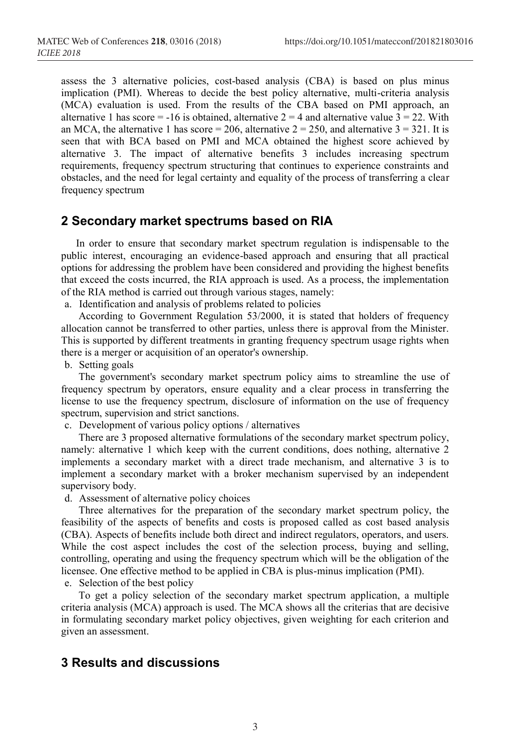assess the 3 alternative policies, cost-based analysis (CBA) is based on plus minus implication (PMI). Whereas to decide the best policy alternative, multi-criteria analysis (MCA) evaluation is used. From the results of the CBA based on PMI approach, an alternative 1 has score = -16 is obtained, alternative  $2 = 4$  and alternative value  $3 = 22$ . With an MCA, the alternative 1 has score = 206, alternative  $2 = 250$ , and alternative  $3 = 321$ . It is seen that with BCA based on PMI and MCA obtained the highest score achieved by alternative 3. The impact of alternative benefits 3 includes increasing spectrum requirements, frequency spectrum structuring that continues to experience constraints and obstacles, and the need for legal certainty and equality of the process of transferring a clear frequency spectrum

#### **2 Secondary market spectrums based on RIA**

In order to ensure that secondary market spectrum regulation is indispensable to the public interest, encouraging an evidence-based approach and ensuring that all practical options for addressing the problem have been considered and providing the highest benefits that exceed the costs incurred, the RIA approach is used. As a process, the implementation of the RIA method is carried out through various stages, namely:

a. Identification and analysis of problems related to policies

According to Government Regulation 53/2000, it is stated that holders of frequency allocation cannot be transferred to other parties, unless there is approval from the Minister. This is supported by different treatments in granting frequency spectrum usage rights when there is a merger or acquisition of an operator's ownership.

b. Setting goals

The government's secondary market spectrum policy aims to streamline the use of frequency spectrum by operators, ensure equality and a clear process in transferring the license to use the frequency spectrum, disclosure of information on the use of frequency spectrum, supervision and strict sanctions.

c. Development of various policy options / alternatives

There are 3 proposed alternative formulations of the secondary market spectrum policy, namely: alternative 1 which keep with the current conditions, does nothing, alternative 2 implements a secondary market with a direct trade mechanism, and alternative 3 is to implement a secondary market with a broker mechanism supervised by an independent supervisory body.

d. Assessment of alternative policy choices

Three alternatives for the preparation of the secondary market spectrum policy, the feasibility of the aspects of benefits and costs is proposed called as cost based analysis (CBA). Aspects of benefits include both direct and indirect regulators, operators, and users. While the cost aspect includes the cost of the selection process, buying and selling, controlling, operating and using the frequency spectrum which will be the obligation of the licensee. One effective method to be applied in CBA is plus-minus implication (PMI).

e. Selection of the best policy

To get a policy selection of the secondary market spectrum application, a multiple criteria analysis (MCA) approach is used. The MCA shows all the criterias that are decisive in formulating secondary market policy objectives, given weighting for each criterion and given an assessment.

## **3 Results and discussions**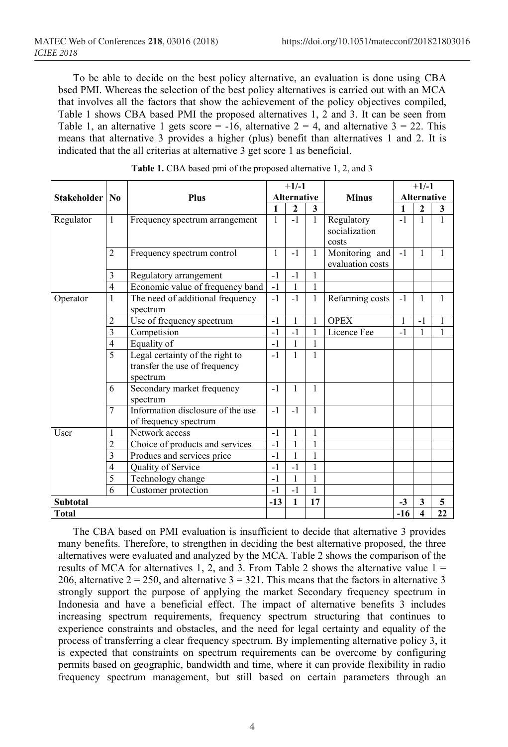To be able to decide on the best policy alternative, an evaluation is done using CBA bsed PMI. Whereas the selection of the best policy alternatives is carried out with an MCA that involves all the factors that show the achievement of the policy objectives compiled, Table 1 shows CBA based PMI the proposed alternatives 1, 2 and 3. It can be seen from Table 1, an alternative 1 gets score =  $-16$ , alternative 2 = 4, and alternative 3 = 22. This means that alternative 3 provides a higher (plus) benefit than alternatives 1 and 2. It is indicated that the all criterias at alternative 3 get score 1 as beneficial.

|                  |                |                                   | $+1/-1$<br><b>Alternative</b> |              |    |                  | $+1/-1$<br><b>Alternative</b> |              |    |
|------------------|----------------|-----------------------------------|-------------------------------|--------------|----|------------------|-------------------------------|--------------|----|
| Stakeholder   No |                | Plus                              |                               |              |    | <b>Minus</b>     |                               |              |    |
|                  |                |                                   | 1                             | 2            | 3  |                  | 1                             | $\mathbf{2}$ | 3  |
| Regulator        | $\mathbf{1}$   | Frequency spectrum arrangement    | 1                             | $-1$         | 1  | Regulatory       | $-1$                          | 1            |    |
|                  |                |                                   |                               |              |    | socialization    |                               |              |    |
|                  |                |                                   |                               |              |    | costs            |                               |              |    |
|                  | $\overline{2}$ | Frequency spectrum control        | 1                             | $-1$         | 1  | Monitoring and   | $-1$                          |              | 1  |
|                  |                |                                   |                               |              |    | evaluation costs |                               |              |    |
|                  | 3              | Regulatory arrangement            | $-1$                          | $-1$         | 1  |                  |                               |              |    |
|                  | $\overline{4}$ | Economic value of frequency band  | $-1$                          | 1            | 1  |                  |                               |              |    |
| Operator         | 1              | The need of additional frequency  | $-1$                          | $-1$         | 1  | Refarming costs  | $-1$                          | 1            | 1  |
|                  |                | spectrum                          |                               |              |    |                  |                               |              |    |
|                  | $\overline{2}$ | Use of frequency spectrum         | $-1$                          | $\mathbf{1}$ | 1  | <b>OPEX</b>      | 1                             | $-1$         |    |
|                  | 3              | Competision                       | $-1$                          | $-1$         | 1  | Licence Fee      | $-1$                          | 1            | 1  |
|                  | $\overline{4}$ | Equality of                       | $-1$                          | 1            | 1  |                  |                               |              |    |
|                  | 5              | Legal certainty of the right to   | $-1$                          | 1            | 1  |                  |                               |              |    |
|                  |                | transfer the use of frequency     |                               |              |    |                  |                               |              |    |
|                  |                | spectrum                          |                               |              |    |                  |                               |              |    |
|                  | 6              | Secondary market frequency        | $-1$                          | 1            | 1  |                  |                               |              |    |
|                  |                | spectrum                          |                               |              |    |                  |                               |              |    |
|                  | $\overline{7}$ | Information disclosure of the use | $-1$                          | $-1$         | 1  |                  |                               |              |    |
|                  |                | of frequency spectrum             |                               |              |    |                  |                               |              |    |
| User             | 1              | Network access                    | $-1$                          | 1            | 1  |                  |                               |              |    |
|                  | $\overline{c}$ | Choice of products and services   | $-1$                          | 1            | 1  |                  |                               |              |    |
|                  | 3              | Producs and services price        | $-1$                          | 1            | 1  |                  |                               |              |    |
|                  | $\overline{4}$ | Quality of Service                | $-1$                          | $-1$         | 1  |                  |                               |              |    |
|                  | $\overline{5}$ | Technology change                 | $-1$                          | $\mathbf{1}$ | 1  |                  |                               |              |    |
|                  | 6              | Customer protection               | $-1$                          | $-1$         | 1  |                  |                               |              |    |
| <b>Subtotal</b>  |                |                                   | $-13$                         | 1            | 17 |                  | $-3$                          | 3            | 5  |
| Total            |                |                                   |                               |              |    |                  | $-16$                         | 4            | 22 |

Table 1. CBA based pmi of the proposed alternative 1, 2, and 3

The CBA based on PMI evaluation is insufficient to decide that alternative 3 provides many benefits. Therefore, to strengthen in deciding the best alternative proposed, the three alternatives were evaluated and analyzed by the MCA. Table 2 shows the comparison of the results of MCA for alternatives 1, 2, and 3. From Table 2 shows the alternative value  $1 =$ 206, alternative  $2 = 250$ , and alternative  $3 = 321$ . This means that the factors in alternative 3 strongly support the purpose of applying the market Secondary frequency spectrum in Indonesia and have a beneficial effect. The impact of alternative benefits 3 includes increasing spectrum requirements, frequency spectrum structuring that continues to experience constraints and obstacles, and the need for legal certainty and equality of the process of transferring a clear frequency spectrum. By implementing alternative policy 3, it is expected that constraints on spectrum requirements can be overcome by configuring permits based on geographic, bandwidth and time, where it can provide flexibility in radio frequency spectrum management, but still based on certain parameters through an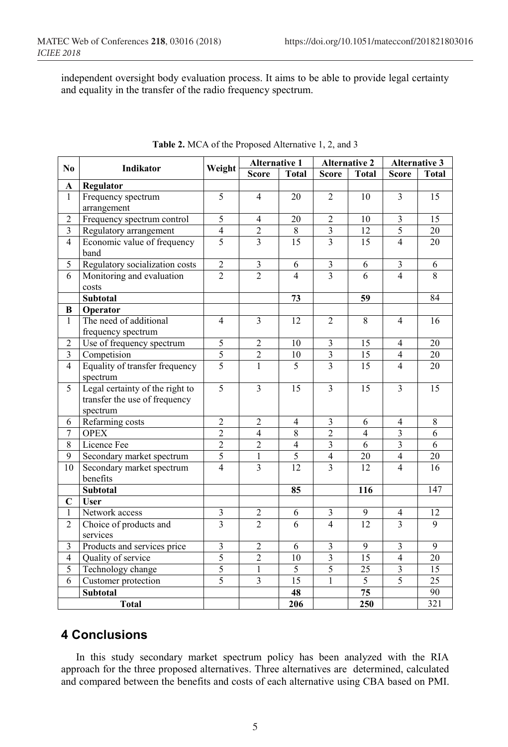independent oversight body evaluation process. It aims to be able to provide legal certainty and equality in the transfer of the radio frequency spectrum.

| N <sub>0</sub>           | Indikator                                                                    | Weight         | <b>Alternative 1</b>    |                 | <b>Alternative 2</b>    |                 | <b>Alternative 3</b>    |                 |
|--------------------------|------------------------------------------------------------------------------|----------------|-------------------------|-----------------|-------------------------|-----------------|-------------------------|-----------------|
|                          |                                                                              |                | <b>Score</b>            | <b>Total</b>    | <b>Score</b>            | <b>Total</b>    | <b>Score</b>            | <b>Total</b>    |
| A                        | Regulator                                                                    |                |                         |                 |                         |                 |                         |                 |
| 1                        | Frequency spectrum<br>arrangement                                            | 5              | $\overline{4}$          | 20              | $\overline{2}$          | 10              | $\overline{\mathbf{3}}$ | 15              |
| $\overline{c}$           | Frequency spectrum control                                                   | 5              | 4                       | 20              | $\overline{2}$          | 10              | 3                       | 15              |
| $\overline{\mathbf{3}}$  | Regulatory arrangement                                                       | $\overline{4}$ | $\overline{2}$          | 8               | $\overline{3}$          | 12              | 5                       | 20              |
| $\overline{4}$           | Economic value of frequency<br>band                                          | 5              | $\overline{3}$          | $\overline{15}$ | $\overline{3}$          | 15              | $\overline{4}$          | $\overline{20}$ |
| 5                        | Regulatory socialization costs                                               | $\overline{2}$ | $\overline{\mathbf{3}}$ | 6               | $\overline{\mathbf{3}}$ | 6               | 3                       | 6               |
| 6                        | Monitoring and evaluation<br>costs                                           | $\overline{2}$ | $\overline{2}$          | $\overline{4}$  | $\overline{3}$          | 6               | $\overline{4}$          | 8               |
|                          | <b>Subtotal</b>                                                              |                |                         | 73              |                         | 59              |                         | 84              |
| B                        | Operator                                                                     |                |                         |                 |                         |                 |                         |                 |
| 1                        | The need of additional<br>frequency spectrum                                 | $\overline{4}$ | 3                       | 12              | $\overline{2}$          | 8               | $\overline{4}$          | 16              |
| $\overline{c}$           | Use of frequency spectrum                                                    | 5              | $\overline{2}$          | 10              | 3                       | 15              | $\overline{4}$          | 20              |
| $\overline{3}$           | Competision                                                                  | 5              | $\overline{2}$          | 10              | $\overline{3}$          | 15              | $\overline{4}$          | 20              |
| $\overline{4}$           | Equality of transfer frequency<br>spectrum                                   | $\overline{5}$ | $\mathbf{1}$            | 5               | $\overline{3}$          | 15              | 4                       | 20              |
| 5                        | Legal certainty of the right to<br>transfer the use of frequency<br>spectrum | 5              | $\overline{\mathbf{3}}$ | 15              | $\mathfrak{Z}$          | 15              | 3                       | $\overline{15}$ |
| 6                        | Refarming costs                                                              | $\overline{c}$ | $\overline{2}$          | 4               | 3                       | 6               | 4                       | 8               |
| 7                        | <b>OPEX</b>                                                                  | $\overline{c}$ | $\overline{4}$          | 8               | $\overline{2}$          | 4               | 3                       | 6               |
| 8                        | Licence Fee                                                                  | $\overline{c}$ | $\overline{c}$          | $\overline{4}$  | $\overline{\mathbf{3}}$ | 6               | $\overline{3}$          | 6               |
| 9                        | Secondary market spectrum                                                    | 5              | $\mathbf{1}$            | 5               | $\overline{4}$          | 20              | $\overline{4}$          | 20              |
| 10                       | Secondary market spectrum                                                    | $\overline{4}$ | $\overline{3}$          | 12              | $\mathcal{E}$           | 12              | 4                       | 16              |
|                          | benefits                                                                     |                |                         |                 |                         |                 |                         |                 |
|                          | Subtotal                                                                     |                |                         | 85              |                         | 116             |                         | 147             |
| $\mathbf C$              | <b>User</b>                                                                  |                |                         |                 |                         |                 |                         |                 |
| 1                        | Network access                                                               | $\mathfrak{Z}$ | $\overline{c}$          | 6               | 3                       | 9               | 4                       | 12              |
| $\overline{c}$           | Choice of products and                                                       | 3              | $\overline{2}$          | 6               | $\overline{4}$          | 12              | 3                       | 9               |
|                          | services                                                                     |                |                         |                 |                         |                 |                         |                 |
| 3                        | Products and services price                                                  | $\mathfrak{Z}$ | $\sqrt{2}$              | 6               | 3                       | 9               | 3                       | 9               |
| $\overline{\mathcal{A}}$ | Quality of service                                                           | 5              | $\overline{2}$          | 10              | $\overline{\mathbf{3}}$ | 15              | $\overline{4}$          | 20              |
| 5                        | Technology change                                                            | 5              | $\mathbf{1}$            | 5               | $\overline{5}$          | 25              | $\overline{\mathbf{3}}$ | 15              |
| 6                        | Customer protection                                                          | $\overline{5}$ | $\overline{3}$          | 15              | $\mathbf{1}$            | 5               | $\overline{5}$          | $\overline{25}$ |
| Subtotal                 |                                                                              |                |                         | $\overline{48}$ |                         | $\overline{75}$ |                         | 90              |
| <b>Total</b>             |                                                                              |                |                         | 206             |                         | 250             |                         | 321             |

| Table 2. MCA of the Proposed Alternative 1, 2, and 3 |  |  |
|------------------------------------------------------|--|--|
|------------------------------------------------------|--|--|

## **4 Conclusions**

In this study secondary market spectrum policy has been analyzed with the RIA approach for the three proposed alternatives. Three alternatives are determined, calculated and compared between the benefits and costs of each alternative using CBA based on PMI.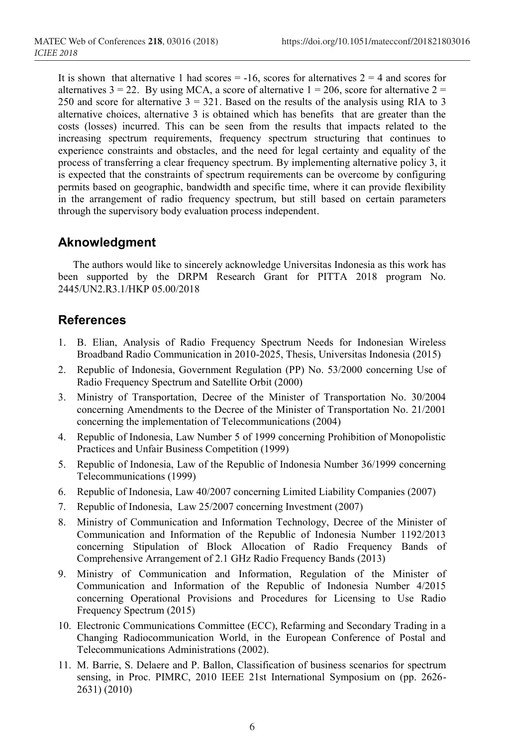It is shown that alternative 1 had scores  $= -16$ , scores for alternatives  $2 = 4$  and scores for alternatives  $3 = 22$ . By using MCA, a score of alternative  $1 = 206$ , score for alternative  $2 =$ 250 and score for alternative  $3 = 321$ . Based on the results of the analysis using RIA to 3 alternative choices, alternative 3 is obtained which has benefits that are greater than the costs (losses) incurred. This can be seen from the results that impacts related to the increasing spectrum requirements, frequency spectrum structuring that continues to experience constraints and obstacles, and the need for legal certainty and equality of the process of transferring a clear frequency spectrum. By implementing alternative policy 3, it is expected that the constraints of spectrum requirements can be overcome by configuring permits based on geographic, bandwidth and specific time, where it can provide flexibility in the arrangement of radio frequency spectrum, but still based on certain parameters through the supervisory body evaluation process independent.

### **Aknowledgment**

The authors would like to sincerely acknowledge Universitas Indonesia as this work has been supported by the DRPM Research Grant for PITTA 2018 program No. 2445/UN2.R3.1/HKP 05.00/2018

#### **References**

- 1. B. Elian, Analysis of Radio Frequency Spectrum Needs for Indonesian Wireless Broadband Radio Communication in 2010-2025, Thesis, Universitas Indonesia (2015)
- 2. Republic of Indonesia, Government Regulation (PP) No. 53/2000 concerning Use of Radio Frequency Spectrum and Satellite Orbit (2000)
- 3. Ministry of Transportation, Decree of the Minister of Transportation No. 30/2004 concerning Amendments to the Decree of the Minister of Transportation No. 21/2001 concerning the implementation of Telecommunications (2004)
- 4. Republic of Indonesia, Law Number 5 of 1999 concerning Prohibition of Monopolistic Practices and Unfair Business Competition (1999)
- 5. Republic of Indonesia, Law of the Republic of Indonesia Number 36/1999 concerning Telecommunications (1999)
- 6. Republic of Indonesia, Law 40/2007 concerning Limited Liability Companies (2007)
- 7. Republic of Indonesia, Law 25/2007 concerning Investment (2007)
- 8. Ministry of Communication and Information Technology, Decree of the Minister of Communication and Information of the Republic of Indonesia Number 1192/2013 concerning Stipulation of Block Allocation of Radio Frequency Bands of Comprehensive Arrangement of 2.1 GHz Radio Frequency Bands (2013)
- 9. Ministry of Communication and Information, Regulation of the Minister of Communication and Information of the Republic of Indonesia Number 4/2015 concerning Operational Provisions and Procedures for Licensing to Use Radio Frequency Spectrum (2015)
- 10. Electronic Communications Committee (ECC), Refarming and Secondary Trading in a Changing Radiocommunication World, in the European Conference of Postal and Telecommunications Administrations (2002).
- 11. M. Barrie, S. Delaere and P. Ballon, Classification of business scenarios for spectrum sensing, in Proc. PIMRC, 2010 IEEE 21st International Symposium on (pp. 2626- 2631) (2010)